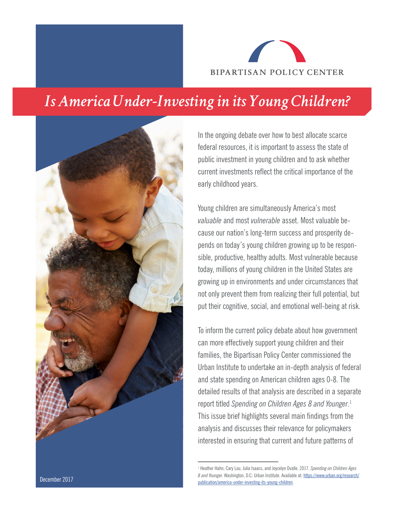

## *Is America Under-Investing in its Young Children?*



In the ongoing debate over how to best allocate scarce federal resources, it is important to assess the state of public investment in young children and to ask whether current investments reflect the critical importance of the early childhood years.

Young children are simultaneously America's most *valuable* and most *vulnerable* asset. Most valuable because our nation's long-term success and prosperity depends on today's young children growing up to be responsible, productive, healthy adults. Most vulnerable because today, millions of young children in the United States are growing up in environments and under circumstances that not only prevent them from realizing their full potential, but put their cognitive, social, and emotional well-being at risk.

To inform the current policy debate about how government can more effectively support young children and their families, the Bipartisan Policy Center commissioned the Urban Institute to undertake an in-depth analysis of federal and state spending on American children ages 0-8. The detailed results of that analysis are described in a separate report titled *Spending on Children Ages 8 and Younger*. 1 This issue brief highlights several main findings from the analysis and discusses their relevance for policymakers interested in ensuring that current and future patterns of

<sup>1</sup> Heather Hahn, Cary Lou, Julia Isaacs, and Joycelyn Ovalle. 2017. *Spending on Children Ages 8 and Younger.* Washington, D.C: Urban Institute. Available at: [https://www.urban.org/research/](http://: https://www.urban.org/research/publication/america-under-investing-its-young-children )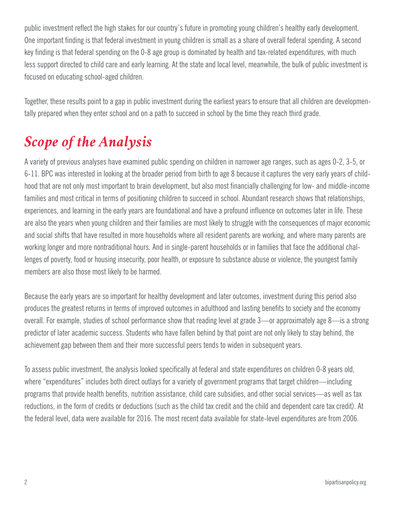public investment reflect the high stakes for our country's future in promoting young children's healthy early development. One important finding is that federal investment in young children is small as a share of overall federal spending. A second key finding is that federal spending on the 0-8 age group is dominated by health and tax-related expenditures, with much less support directed to child care and early learning. At the state and local level, meanwhile, the bulk of public investment is focused on educating school-aged children.

Together, these results point to a gap in public investment during the earliest years to ensure that all children are developmentally prepared when they enter school and on a path to succeed in school by the time they reach third grade.

## *Scope of the Analysis*

A variety of previous analyses have examined public spending on children in narrower age ranges, such as ages 0-2, 3-5, or 6-11. BPC was interested in looking at the broader period from birth to age 8 because it captures the very early years of childhood that are not only most important to brain development, but also most financially challenging for low- and middle-income families and most critical in terms of positioning children to succeed in school. Abundant research shows that relationships, experiences, and learning in the early years are foundational and have a profound influence on outcomes later in life. These are also the years when young children and their families are most likely to struggle with the consequences of major economic and social shifts that have resulted in more households where all resident parents are working, and where many parents are working longer and more nontraditional hours. And in single-parent households or in families that face the additional challenges of poverty, food or housing insecurity, poor health, or exposure to substance abuse or violence, the youngest family members are also those most likely to be harmed.

Because the early years are so important for healthy development and later outcomes, investment during this period also produces the greatest returns in terms of improved outcomes in adulthood and lasting benefits to society and the economy overall. For example, studies of school performance show that reading level at grade 3—or approximately age 8—is a strong predictor of later academic success. Students who have fallen behind by that point are not only likely to stay behind, the achievement gap between them and their more successful peers tends to widen in subsequent years.

To assess public investment, the analysis looked specifically at federal and state expenditures on children 0-8 years old, where "expenditures" includes both direct outlays for a variety of government programs that target children—including programs that provide health benefits, nutrition assistance, child care subsidies, and other social services—as well as tax reductions, in the form of credits or deductions (such as the child tax credit and the child and dependent care tax credit). At the federal level, data were available for 2016. The most recent data available for state-level expenditures are from 2006.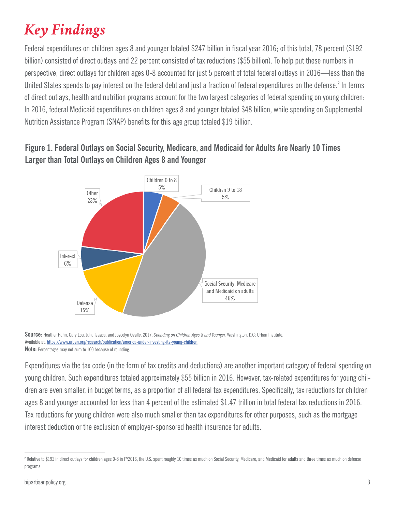# *Key Findings*

Federal expenditures on children ages 8 and younger totaled \$247 billion in fiscal year 2016; of this total, 78 percent (\$192 billion) consisted of direct outlays and 22 percent consisted of tax reductions (\$55 billion). To help put these numbers in perspective, direct outlays for children ages 0-8 accounted for just 5 percent of total federal outlays in 2016—less than the United States spends to pay interest on the federal debt and just a fraction of federal expenditures on the defense.<sup>2</sup> In terms of direct outlays, health and nutrition programs account for the two largest categories of federal spending on young children: In 2016, federal Medicaid expenditures on children ages 8 and younger totaled \$48 billion, while spending on Supplemental Nutrition Assistance Program (SNAP) benefits for this age group totaled \$19 billion.

#### **Figure 1. Federal Outlays on Social Security, Medicare, and Medicaid for Adults Are Nearly 10 Times Larger than Total Outlays on Children Ages 8 and Younger**



**Source:** Heather Hahn, Cary Lou, Julia Isaacs, and Joycelyn Ovalle. 2017. *Spending on Children Ages 8 and Younger.* Washington, D.C: Urban Institute. Available at: [https://www.urban.org/research/publication/america-under-investing-its-young-children](http://: https://www.urban.org/research/publication/america-under-investing-its-young-children ). **Note:** Percentages may not sum to 100 because of rounding.

Expenditures via the tax code (in the form of tax credits and deductions) are another important category of federal spending on young children. Such expenditures totaled approximately \$55 billion in 2016. However, tax-related expenditures for young children are even smaller, in budget terms, as a proportion of all federal tax expenditures. Specifically, tax reductions for children ages 8 and younger accounted for less than 4 percent of the estimated \$1.47 trillion in total federal tax reductions in 2016. Tax reductions for young children were also much smaller than tax expenditures for other purposes, such as the mortgage interest deduction or the exclusion of employer-sponsored health insurance for adults.

<sup>2</sup> Relative to \$192 in direct outlays for children ages 0-8 in FY2016, the U.S. spent roughly 10 times as much on Social Security, Medicare, and Medicaid for adults and three times as much on defense programs.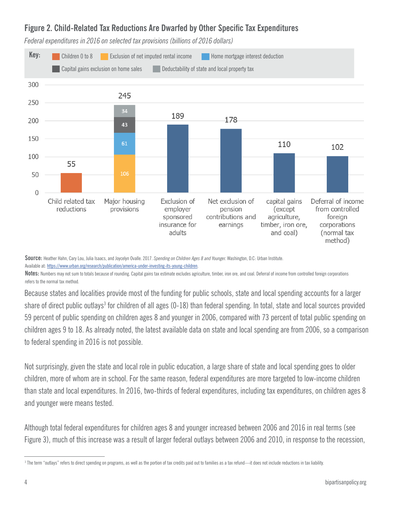#### **Figure 2. Child-Related Tax Reductions Are Dwarfed by Other Specific Tax Expenditures**



*Federal expenditures in 2016 on selected tax provisions (billions of 2016 dollars)*

**Source:** Heather Hahn, Cary Lou, Julia Isaacs, and Joycelyn Ovalle. 2017. *Spending on Children Ages 8 and Younger.* Washington, D.C: Urban Institute.

Available at: [https://www.urban.org/research/publication/america-under-investing-its-young-children](http://: https://www.urban.org/research/publication/america-under-investing-its-young-children ).

Notes: Numbers may not sum to totals because of rounding. Capital gains tax estimate excludes agriculture, timber, iron ore, and coal. Deferral of income from controlled foreign corporations refers to the normal tax method.

Because states and localities provide most of the funding for public schools, state and local spending accounts for a larger share of direct public outlays<sup>3</sup> for children of all ages (0-18) than federal spending. In total, state and local sources provided 59 percent of public spending on children ages 8 and younger in 2006, compared with 73 percent of total public spending on children ages 9 to 18. As already noted, the latest available data on state and local spending are from 2006, so a comparison to federal spending in 2016 is not possible.

Not surprisingly, given the state and local role in public education, a large share of state and local spending goes to older children, more of whom are in school. For the same reason, federal expenditures are more targeted to low-income children than state and local expenditures. In 2016, two-thirds of federal expenditures, including tax expenditures, on children ages 8 and younger were means tested.

Although total federal expenditures for children ages 8 and younger increased between 2006 and 2016 in real terms (see Figure 3), much of this increase was a result of larger federal outlays between 2006 and 2010, in response to the recession,

 $^3$  The term "outlays" refers to direct spending on programs, as well as the portion of tax credits paid out to families as a tax refund—it does not include reductions in tax liability.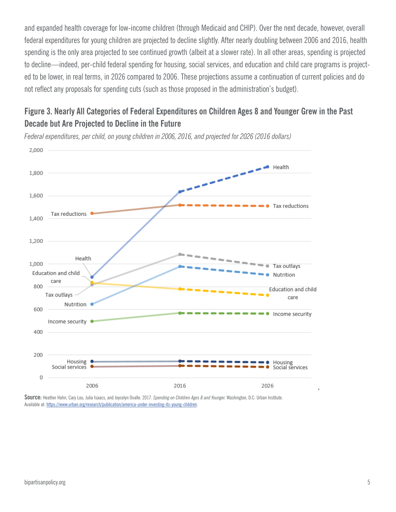and expanded health coverage for low-income children (through Medicaid and CHIP). Over the next decade, however, overall federal expenditures for young children are projected to decline slightly. After nearly doubling between 2006 and 2016, health spending is the only area projected to see continued growth (albeit at a slower rate). In all other areas, spending is projected to decline—indeed, per-child federal spending for housing, social services, and education and child care programs is projected to be lower, in real terms, in 2026 compared to 2006. These projections assume a continuation of current policies and do not reflect any proposals for spending cuts (such as those proposed in the administration's budget).

#### **Figure 3. Nearly All Categories of Federal Expenditures on Children Ages 8 and Younger Grew in the Past Decade but Are Projected to Decline in the Future**



*Federal expenditures, per child, on young children in 2006, 2016, and projected for 2026 (2016 dollars)*

**Source:** Heather Hahn, Cary Lou, Julia Isaacs, and Joycelyn Ovalle. 2017. *Spending on Children Ages 8 and Younger.* Washington, D.C: Urban Institute. Available at: [https://www.urban.org/research/publication/america-under-investing-its-young-children](http://: https://www.urban.org/research/publication/america-under-investing-its-young-children ).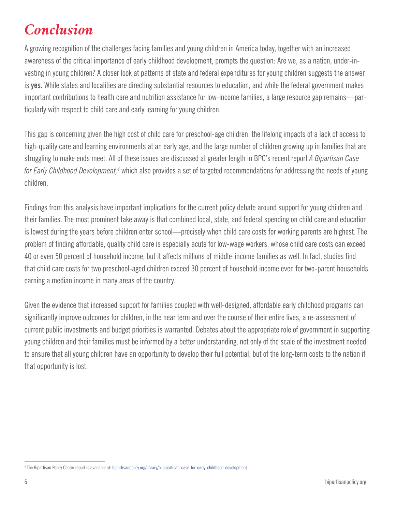## *Conclusion*

A growing recognition of the challenges facing families and young children in America today, together with an increased awareness of the critical importance of early childhood development, prompts the question: Are we, as a nation, under-investing in young children? A closer look at patterns of state and federal expenditures for young children suggests the answer is **yes.** While states and localities are directing substantial resources to education, and while the federal government makes important contributions to health care and nutrition assistance for low-income families, a large resource gap remains—particularly with respect to child care and early learning for young children.

This gap is concerning given the high cost of child care for preschool-age children, the lifelong impacts of a lack of access to high-quality care and learning environments at an early age, and the large number of children growing up in families that are struggling to make ends meet. All of these issues are discussed at greater length in BPC's recent report *A Bipartisan Case for Early Childhood Development,<sup>4</sup>* which also provides a set of targeted recommendations for addressing the needs of young children.

Findings from this analysis have important implications for the current policy debate around support for young children and their families. The most prominent take away is that combined local, state, and federal spending on child care and education is lowest during the years before children enter school—precisely when child care costs for working parents are highest. The problem of finding affordable, quality child care is especially acute for low-wage workers, whose child care costs can exceed 40 or even 50 percent of household income, but it affects millions of middle-income families as well. In fact, studies find that child care costs for two preschool-aged children exceed 30 percent of household income even for two-parent households earning a median income in many areas of the country.

Given the evidence that increased support for families coupled with well-designed, affordable early childhood programs can significantly improve outcomes for children, in the near term and over the course of their entire lives, a re-assessment of current public investments and budget priorities is warranted. Debates about the appropriate role of government in supporting young children and their families must be informed by a better understanding, not only of the scale of the investment needed to ensure that all young children have an opportunity to develop their full potential, but of the long-term costs to the nation if that opportunity is lost.

<sup>&</sup>lt;sup>4</sup> The Bipartisan Policy Center report is available at: <u>bipartisanpolicy.org/library/a-bipartisan-case-for-early-childhood-development.</u>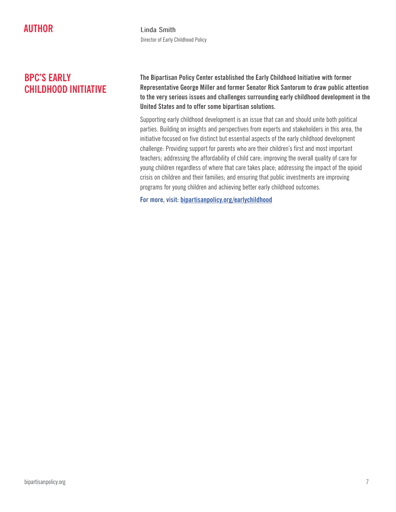**AUTHOR Linda Smith** Director of Early Childhood Policy

### **BPC'S EARLY CHILDHOOD INITIATIVE**

**The Bipartisan Policy Center established the Early Childhood Initiative with former Representative George Miller and former Senator Rick Santorum to draw public attention to the very serious issues and challenges surrounding early childhood development in the United States and to offer some bipartisan solutions.** 

Supporting early childhood development is an issue that can and should unite both political parties. Building on insights and perspectives from experts and stakeholders in this area, the initiative focused on five distinct but essential aspects of the early childhood development challenge: Providing support for parents who are their children's first and most important teachers; addressing the affordability of child care; improving the overall quality of care for young children regardless of where that care takes place; addressing the impact of the opioid crisis on children and their families; and ensuring that public investments are improving programs for young children and achieving better early childhood outcomes.

**For more, visit: [bipartisanpolicy.org/earlychildhood](http://bipartisanpolicy.org/earlychildhood)**